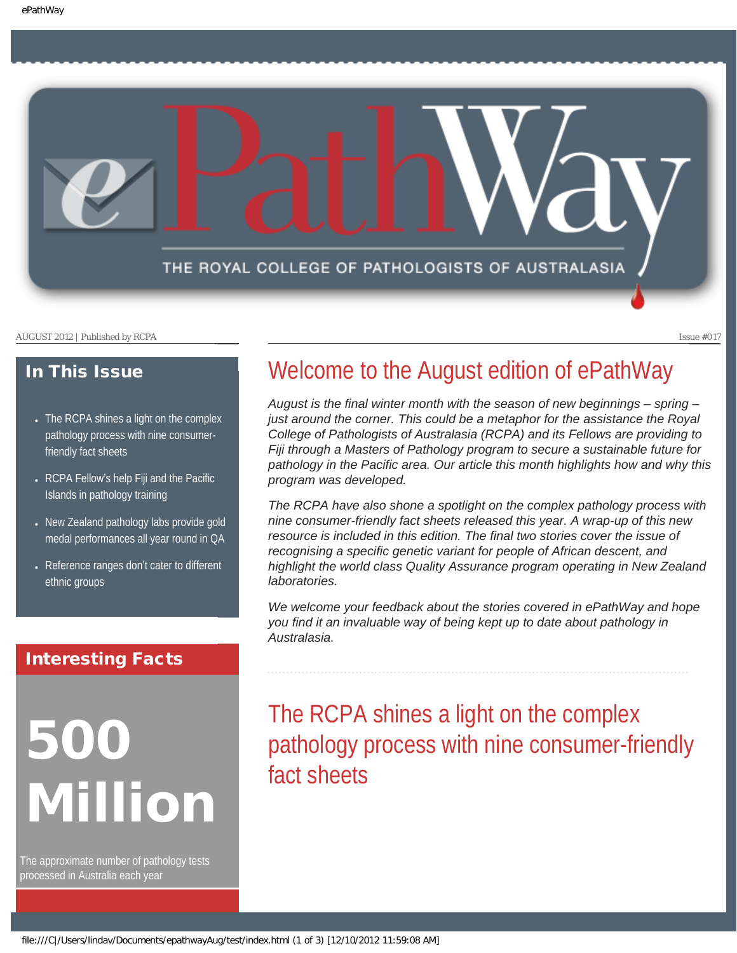<span id="page-0-1"></span>

#### In This Issue

- [The RCPA shines a light on the complex](#page-0-0) [pathology process with nine consumer](#page-0-0)[friendly fact sheets](#page-0-0)
- RCPA Fellow'[s help Fiji and the Pacific](#page-1-0) [Islands in pathology training](#page-1-0)
- New Zealand pathology labs provide gold [medal performances all year round in QA](#page-1-1)
- [Reference ranges don](#page-2-0)'t cater to different [ethnic groups](#page-2-0)

#### Interesting Facts

## <span id="page-0-0"></span>500 Million

The approximate number of pathology tests processed in Australia each year

### Welcome to the August edition of ePathWay

August is the final winter month with the season of new beginnings – spring – *just around the corner. This could be a metaphor for the assistance the Royal College of Pathologists of Australasia (RCPA) and its Fellows are providing to Fiji through a Masters of Pathology program to secure a sustainable future for pathology in the Pacific area. Our article this month highlights how and why this program was developed.* 

*The RCPA have also shone a spotlight on the complex pathology process with nine consumer-friendly fact sheets released this year. A wrap-up of this new resource is included in this edition. The final two stories cover the issue of recognising a specific genetic variant for people of African descent, and highlight the world class Quality Assurance program operating in New Zealand laboratories.* 

*We welcome your feedback about the stories covered in ePathWay and hope you find it an invaluable way of being kept up to date about pathology in Australasia.*

The RCPA shines a light on the complex pathology process with nine consumer-friendly fact sheets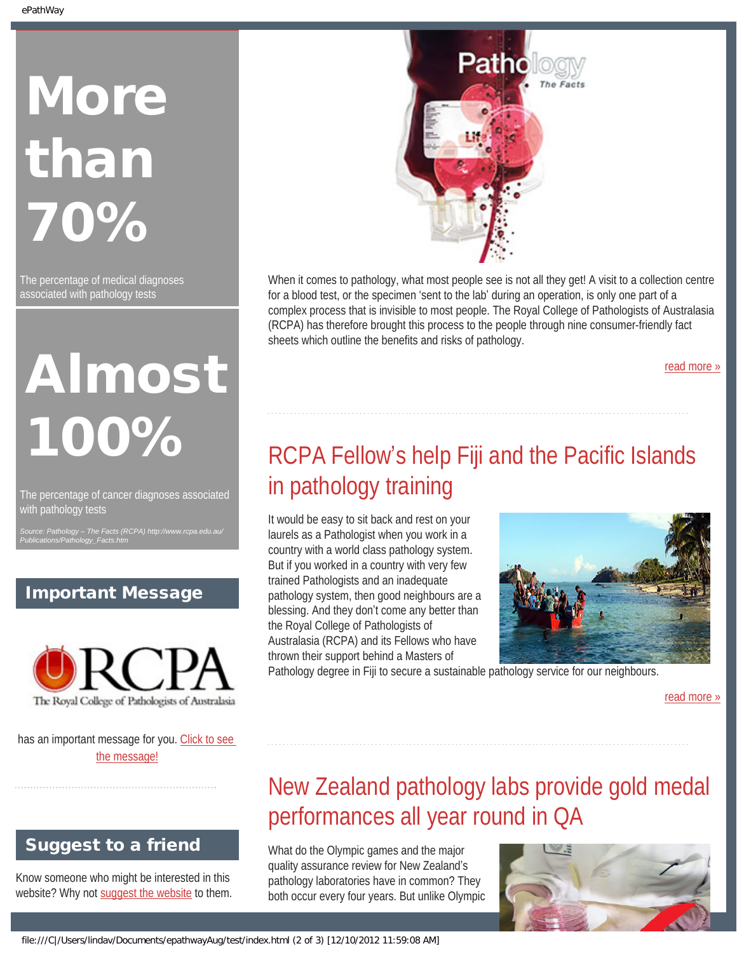# **More** than 70%

The percentage of medical diagnoses associated with pathology tests

## Almost 100%

<span id="page-1-0"></span>The percentage of cancer diagnoses associated with pathology tests

*Source: Pathology – The Facts (RCPA) http://www.rcpa.edu.au/ Publications/Pathology\_Facts.htm*

#### Important Message



<span id="page-1-1"></span>has an important message for you. [Click to see](file:///C|/Users/lindav/Documents/epathwayAug/test/notice.html) [the message!](file:///C|/Users/lindav/Documents/epathwayAug/test/notice.html)

### Suggest to a friend

Know someone who might be interested in this website? Why not [suggest the website](mailto:?Subject=I%20think%20you%20should%20read%20this%20Newsletter=
http://epathway.rcpa.edu.au/index.html) to them.



When it comes to pathology, what most people see is not all they get! A visit to a collection centre for a blood test, or the specimen 'sent to the lab' during an operation, is only one part of a complex process that is invisible to most people. The Royal College of Pathologists of Australasia (RCPA) has therefore brought this process to the people through nine consumer-friendly fact sheets which outline the benefits and risks of pathology.

[read more »](#page-3-0)

## RCPA Fellow's help Fiji and the Pacific Islands in pathology training

It would be easy to sit back and rest on your laurels as a Pathologist when you work in a country with a world class pathology system. But if you worked in a country with very few trained Pathologists and an inadequate pathology system, then good neighbours are a blessing. And they don't come any better than the Royal College of Pathologists of Australasia (RCPA) and its Fellows who have thrown their support behind a Masters of



Pathology degree in Fiji to secure a sustainable pathology service for our neighbours.

[read more »](#page-5-0)

## New Zealand pathology labs provide gold medal performances all year round in QA

What do the Olympic games and the major quality assurance review for New Zealand's pathology laboratories have in common? They both occur every four years. But unlike Olympic

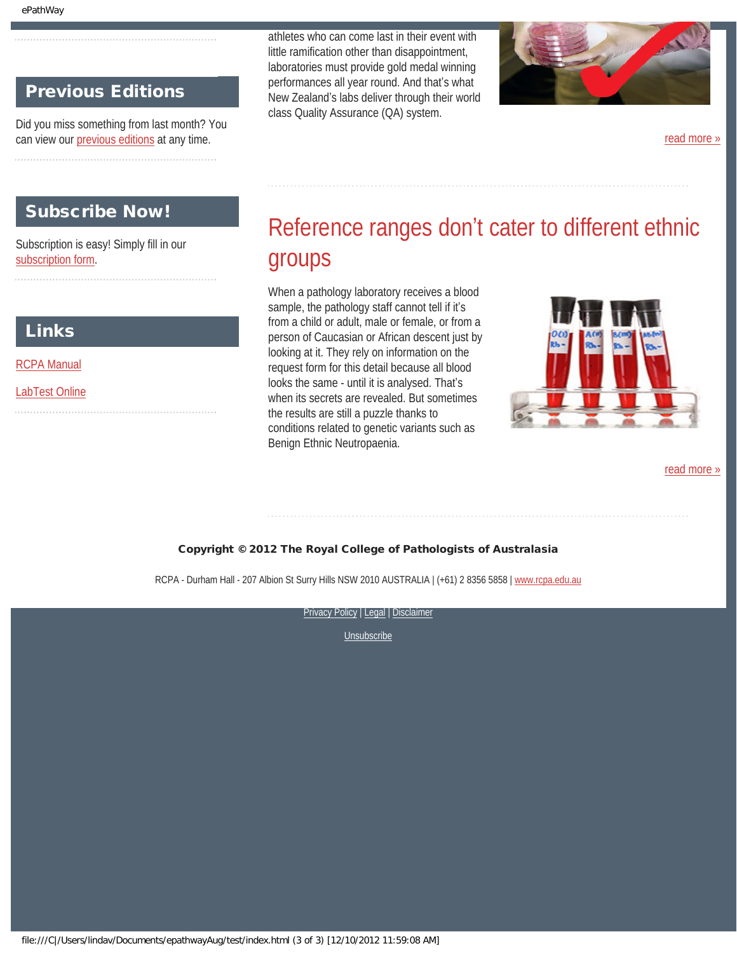#### Previous Editions

Did you miss something from last month? You can view our [previous editions](file:///C|/Users/lindav/Documents/epathwayAug/test/previous.html) at any time.

#### <span id="page-2-0"></span>Subscribe Now!

Subscription is easy! Simply fill in our [subscription form.](file:///C|/Users/lindav/Documents/epathwayAug/test/subscription.html)

#### Links

[RCPA Manual](http://rcpamanual.edu.au/)

[LabTest Online](http://www.labtestsonline.org.au/)

athletes who can come last in their event with little ramification other than disappointment, laboratories must provide gold medal winning performances all year round. And that's what New Zealand's labs deliver through their world class Quality Assurance (QA) system.



[read more »](#page-7-0)

## Reference ranges don't cater to different ethnic groups

When a pathology laboratory receives a blood sample, the pathology staff cannot tell if it's from a child or adult, male or female, or from a person of Caucasian or African descent just by looking at it. They rely on information on the request form for this detail because all blood looks the same - until it is analysed. That's when its secrets are revealed. But sometimes the results are still a puzzle thanks to conditions related to genetic variants such as Benign Ethnic Neutropaenia.



[read more »](#page-9-0)

#### Copyright © 2012 The Royal College of Pathologists of Australasia

RCPA - Durham Hall - 207 Albion St Surry Hills NSW 2010 AUSTRALIA | (+61) 2 8356 5858 | [www.rcpa.edu.au](http://www.rcpa.edu.au/)

[Privacy Policy](http://www.rcpa.edu.au/Privacy.htm) | [Legal](http://www.rcpa.edu.au/Legal.htm) | Disclaimer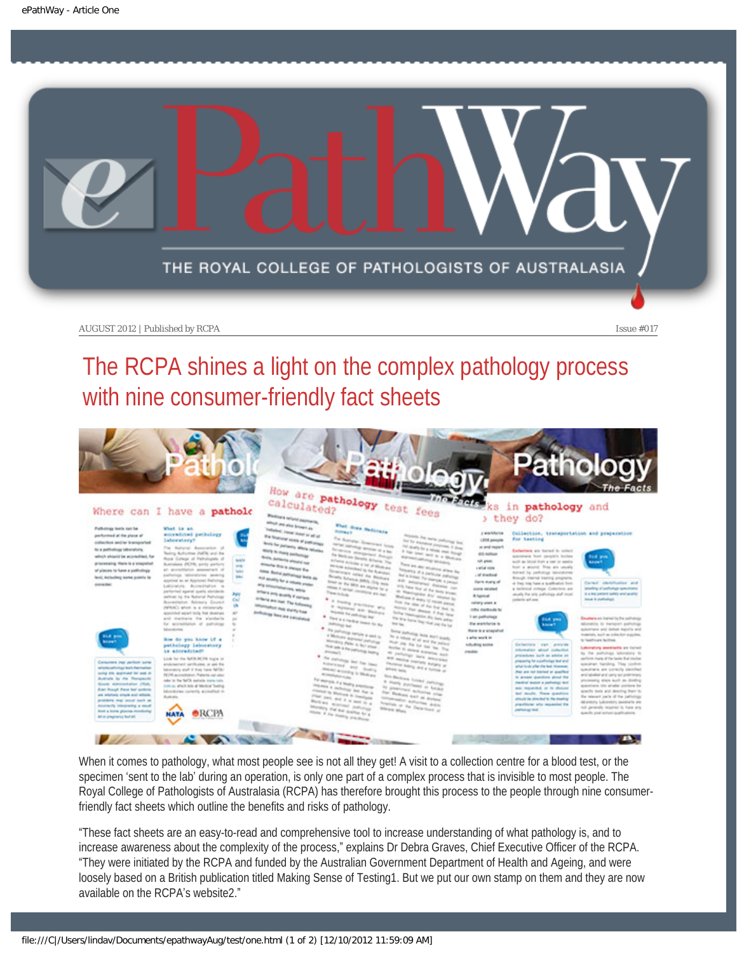<span id="page-3-0"></span>

## The RCPA shines a light on the complex pathology process with nine consumer-friendly fact sheets



When it comes to pathology, what most people see is not all they get! A visit to a collection centre for a blood test, or the specimen 'sent to the lab' during an operation, is only one part of a complex process that is invisible to most people. The Royal College of Pathologists of Australasia (RCPA) has therefore brought this process to the people through nine consumerfriendly fact sheets which outline the benefits and risks of pathology.

"These fact sheets are an easy-to-read and comprehensive tool to increase understanding of what pathology is, and to increase awareness about the complexity of the process," explains Dr Debra Graves, Chief Executive Officer of the RCPA. "They were initiated by the RCPA and funded by the Australian Government Department of Health and Ageing, and were loosely based on a British publication titled Making Sense of Testing1. But we put our own stamp on them and they are now available on the RCPA's website2."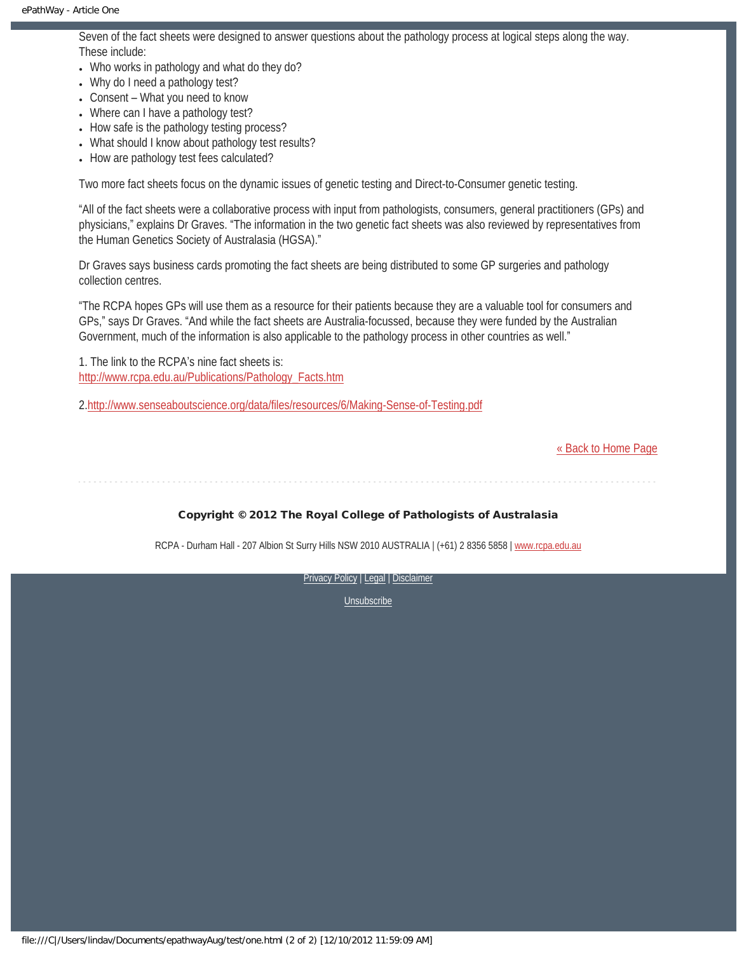Seven of the fact sheets were designed to answer questions about the pathology process at logical steps along the way. These include:

- Who works in pathology and what do they do?
- Why do I need a pathology test?
- $\bullet$  Consent What you need to know
- Where can I have a pathology test?
- How safe is the pathology testing process?
- What should I know about pathology test results?
- How are pathology test fees calculated?

Two more fact sheets focus on the dynamic issues of genetic testing and Direct-to-Consumer genetic testing.

"All of the fact sheets were a collaborative process with input from pathologists, consumers, general practitioners (GPs) and physicians," explains Dr Graves. "The information in the two genetic fact sheets was also reviewed by representatives from the Human Genetics Society of Australasia (HGSA)."

Dr Graves says business cards promoting the fact sheets are being distributed to some GP surgeries and pathology collection centres.

"The RCPA hopes GPs will use them as a resource for their patients because they are a valuable tool for consumers and GPs," says Dr Graves. "And while the fact sheets are Australia-focussed, because they were funded by the Australian Government, much of the information is also applicable to the pathology process in other countries as well."

1. The link to the RCPA's nine fact sheets is: [http://www.rcpa.edu.au/Publications/Pathology\\_Facts.htm](http://www.rcpa.edu.au/Publications/Pathology_Facts.htm)

2.<http://www.senseaboutscience.org/data/files/resources/6/Making-Sense-of-Testing.pdf>

[« Back to Home Page](#page-0-1)

Copyright © 2012 The Royal College of Pathologists of Australasia

RCPA - Durham Hall - 207 Albion St Surry Hills NSW 2010 AUSTRALIA | (+61) 2 8356 5858 | [www.rcpa.edu.au](http://www.rcpa.edu.au/)

[Privacy Policy](http://www.rcpa.edu.au/Privacy.htm) | [Legal](http://www.rcpa.edu.au/Legal.htm) | Disclaimer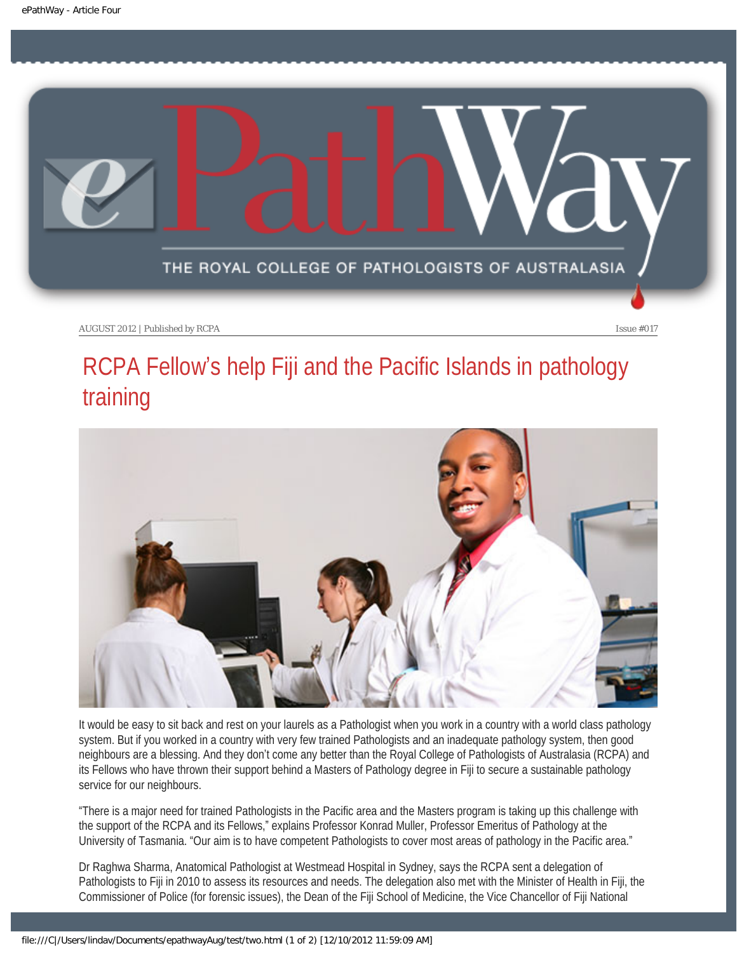<span id="page-5-0"></span>

## RCPA Fellow's help Fiji and the Pacific Islands in pathology training



It would be easy to sit back and rest on your laurels as a Pathologist when you work in a country with a world class pathology system. But if you worked in a country with very few trained Pathologists and an inadequate pathology system, then good neighbours are a blessing. And they don't come any better than the Royal College of Pathologists of Australasia (RCPA) and its Fellows who have thrown their support behind a Masters of Pathology degree in Fiji to secure a sustainable pathology service for our neighbours.

"There is a major need for trained Pathologists in the Pacific area and the Masters program is taking up this challenge with the support of the RCPA and its Fellows," explains Professor Konrad Muller, Professor Emeritus of Pathology at the University of Tasmania. "Our aim is to have competent Pathologists to cover most areas of pathology in the Pacific area."

Dr Raghwa Sharma, Anatomical Pathologist at Westmead Hospital in Sydney, says the RCPA sent a delegation of Pathologists to Fiji in 2010 to assess its resources and needs. The delegation also met with the Minister of Health in Fiji, the Commissioner of Police (for forensic issues), the Dean of the Fiji School of Medicine, the Vice Chancellor of Fiji National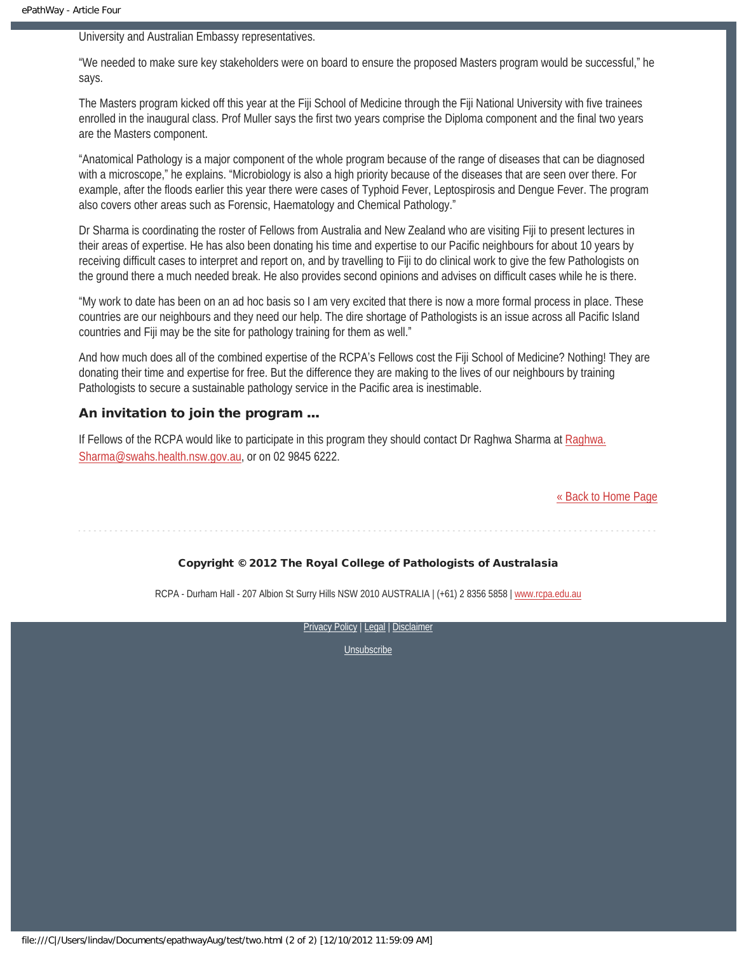University and Australian Embassy representatives.

"We needed to make sure key stakeholders were on board to ensure the proposed Masters program would be successful," he says.

The Masters program kicked off this year at the Fiji School of Medicine through the Fiji National University with five trainees enrolled in the inaugural class. Prof Muller says the first two years comprise the Diploma component and the final two years are the Masters component.

"Anatomical Pathology is a major component of the whole program because of the range of diseases that can be diagnosed with a microscope," he explains. "Microbiology is also a high priority because of the diseases that are seen over there. For example, after the floods earlier this year there were cases of Typhoid Fever, Leptospirosis and Dengue Fever. The program also covers other areas such as Forensic, Haematology and Chemical Pathology."

Dr Sharma is coordinating the roster of Fellows from Australia and New Zealand who are visiting Fiji to present lectures in their areas of expertise. He has also been donating his time and expertise to our Pacific neighbours for about 10 years by receiving difficult cases to interpret and report on, and by travelling to Fiji to do clinical work to give the few Pathologists on the ground there a much needed break. He also provides second opinions and advises on difficult cases while he is there.

"My work to date has been on an ad hoc basis so I am very excited that there is now a more formal process in place. These countries are our neighbours and they need our help. The dire shortage of Pathologists is an issue across all Pacific Island countries and Fiji may be the site for pathology training for them as well."

And how much does all of the combined expertise of the RCPA's Fellows cost the Fiji School of Medicine? Nothing! They are donating their time and expertise for free. But the difference they are making to the lives of our neighbours by training Pathologists to secure a sustainable pathology service in the Pacific area is inestimable.

#### An invitation to join the program …

If Fellows of the RCPA would like to participate in this program they should contact Dr Raghwa Sharma at [Raghwa.](mailto:Raghwa.Sharma@swahs.health.nsw.gov.au) [Sharma@swahs.health.nsw.gov.au,](mailto:Raghwa.Sharma@swahs.health.nsw.gov.au) or on 02 9845 6222.

[« Back to Home Page](#page-0-1)

#### Copyright © 2012 The Royal College of Pathologists of Australasia

RCPA - Durham Hall - 207 Albion St Surry Hills NSW 2010 AUSTRALIA | (+61) 2 8356 5858 | [www.rcpa.edu.au](http://www.rcpa.edu.au/)

[Privacy Policy](http://www.rcpa.edu.au/Privacy.htm) | [Legal](http://www.rcpa.edu.au/Legal.htm) | Disclaimer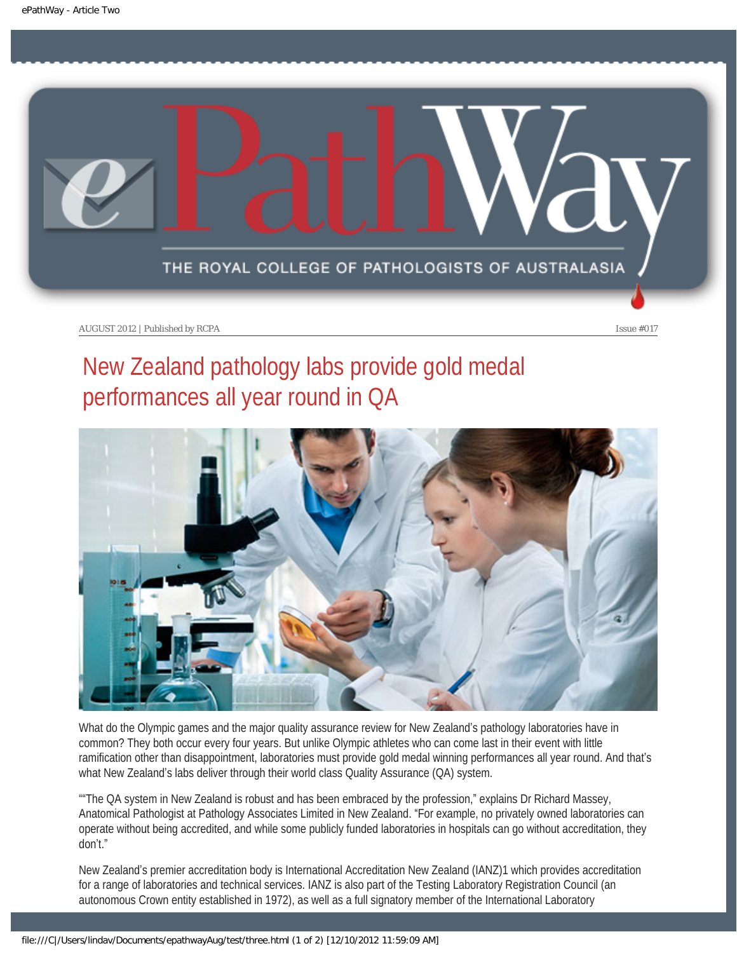<span id="page-7-0"></span>

## New Zealand pathology labs provide gold medal performances all year round in QA



What do the Olympic games and the major quality assurance review for New Zealand's pathology laboratories have in common? They both occur every four years. But unlike Olympic athletes who can come last in their event with little ramification other than disappointment, laboratories must provide gold medal winning performances all year round. And that's what New Zealand's labs deliver through their world class Quality Assurance (QA) system.

""The QA system in New Zealand is robust and has been embraced by the profession," explains Dr Richard Massey, Anatomical Pathologist at Pathology Associates Limited in New Zealand. "For example, no privately owned laboratories can operate without being accredited, and while some publicly funded laboratories in hospitals can go without accreditation, they don't."

New Zealand's premier accreditation body is International Accreditation New Zealand (IANZ)1 which provides accreditation for a range of laboratories and technical services. IANZ is also part of the Testing Laboratory Registration Council (an autonomous Crown entity established in 1972), as well as a full signatory member of the International Laboratory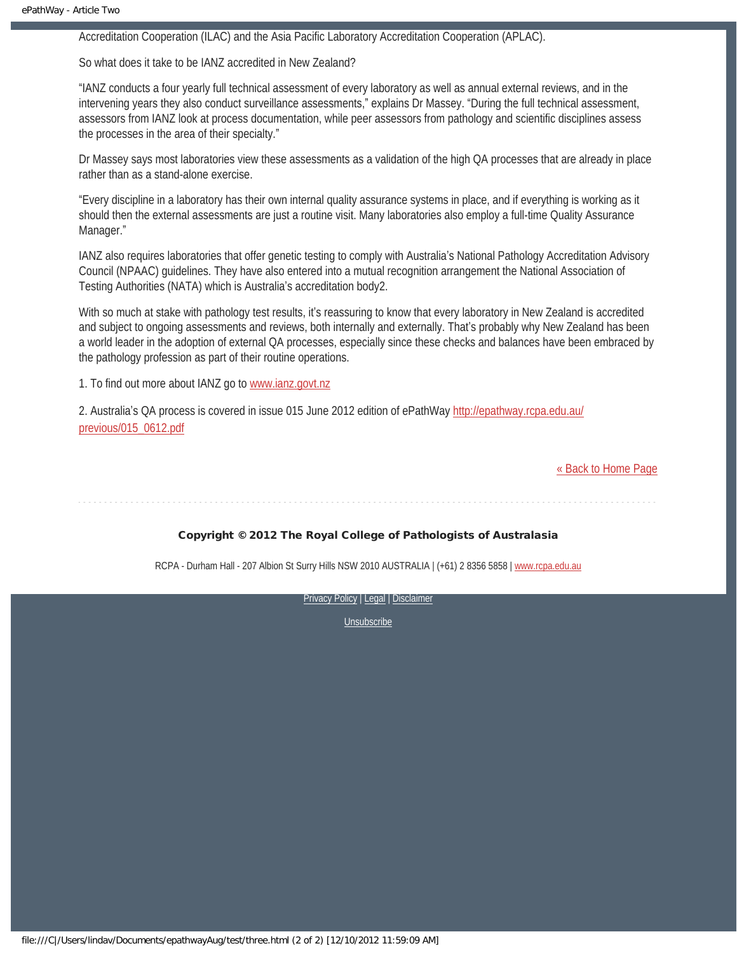Accreditation Cooperation (ILAC) and the Asia Pacific Laboratory Accreditation Cooperation (APLAC).

So what does it take to be IANZ accredited in New Zealand?

"IANZ conducts a four yearly full technical assessment of every laboratory as well as annual external reviews, and in the intervening years they also conduct surveillance assessments," explains Dr Massey. "During the full technical assessment, assessors from IANZ look at process documentation, while peer assessors from pathology and scientific disciplines assess the processes in the area of their specialty."

Dr Massey says most laboratories view these assessments as a validation of the high QA processes that are already in place rather than as a stand-alone exercise.

"Every discipline in a laboratory has their own internal quality assurance systems in place, and if everything is working as it should then the external assessments are just a routine visit. Many laboratories also employ a full-time Quality Assurance Manager."

IANZ also requires laboratories that offer genetic testing to comply with Australia's National Pathology Accreditation Advisory Council (NPAAC) guidelines. They have also entered into a mutual recognition arrangement the National Association of Testing Authorities (NATA) which is Australia's accreditation body2.

With so much at stake with pathology test results, it's reassuring to know that every laboratory in New Zealand is accredited and subject to ongoing assessments and reviews, both internally and externally. That's probably why New Zealand has been a world leader in the adoption of external QA processes, especially since these checks and balances have been embraced by the pathology profession as part of their routine operations.

1. To find out more about IANZ go to [www.ianz.govt.nz](http://www.ianz.govt.nz/)

2. Australia's QA process is covered in issue 015 June 2012 edition of ePathWay [http://epathway.rcpa.edu.au/](http://epathway.rcpa.edu.au/previous/015_0612.pdf) [previous/015\\_0612.pdf](http://epathway.rcpa.edu.au/previous/015_0612.pdf)

[« Back to Home Page](#page-0-1)

#### Copyright © 2012 The Royal College of Pathologists of Australasia

RCPA - Durham Hall - 207 Albion St Surry Hills NSW 2010 AUSTRALIA | (+61) 2 8356 5858 | [www.rcpa.edu.au](http://www.rcpa.edu.au/)

[Privacy Policy](http://www.rcpa.edu.au/Privacy.htm) | [Legal](http://www.rcpa.edu.au/Legal.htm) | Disclaimer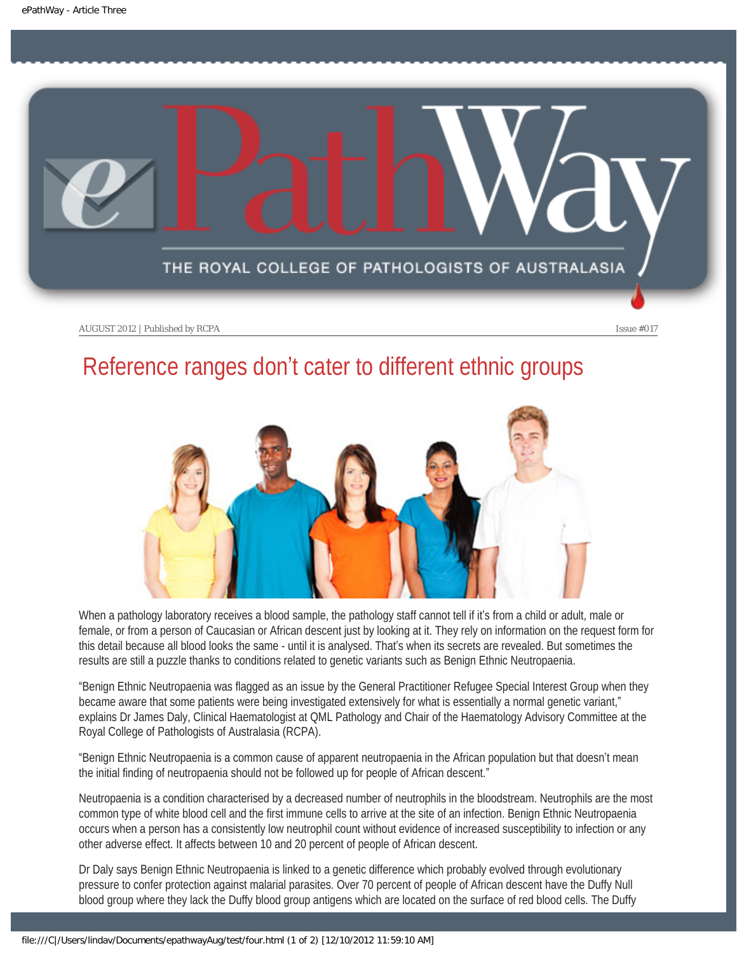<span id="page-9-0"></span>

### Reference ranges don't cater to different ethnic groups



When a pathology laboratory receives a blood sample, the pathology staff cannot tell if it's from a child or adult, male or female, or from a person of Caucasian or African descent just by looking at it. They rely on information on the request form for this detail because all blood looks the same - until it is analysed. That's when its secrets are revealed. But sometimes the results are still a puzzle thanks to conditions related to genetic variants such as Benign Ethnic Neutropaenia.

"Benign Ethnic Neutropaenia was flagged as an issue by the General Practitioner Refugee Special Interest Group when they became aware that some patients were being investigated extensively for what is essentially a normal genetic variant," explains Dr James Daly, Clinical Haematologist at QML Pathology and Chair of the Haematology Advisory Committee at the Royal College of Pathologists of Australasia (RCPA).

"Benign Ethnic Neutropaenia is a common cause of apparent neutropaenia in the African population but that doesn't mean the initial finding of neutropaenia should not be followed up for people of African descent."

Neutropaenia is a condition characterised by a decreased number of neutrophils in the bloodstream. Neutrophils are the most common type of white blood cell and the first immune cells to arrive at the site of an infection. Benign Ethnic Neutropaenia occurs when a person has a consistently low neutrophil count without evidence of increased susceptibility to infection or any other adverse effect. It affects between 10 and 20 percent of people of African descent.

Dr Daly says Benign Ethnic Neutropaenia is linked to a genetic difference which probably evolved through evolutionary pressure to confer protection against malarial parasites. Over 70 percent of people of African descent have the Duffy Null blood group where they lack the Duffy blood group antigens which are located on the surface of red blood cells. The Duffy